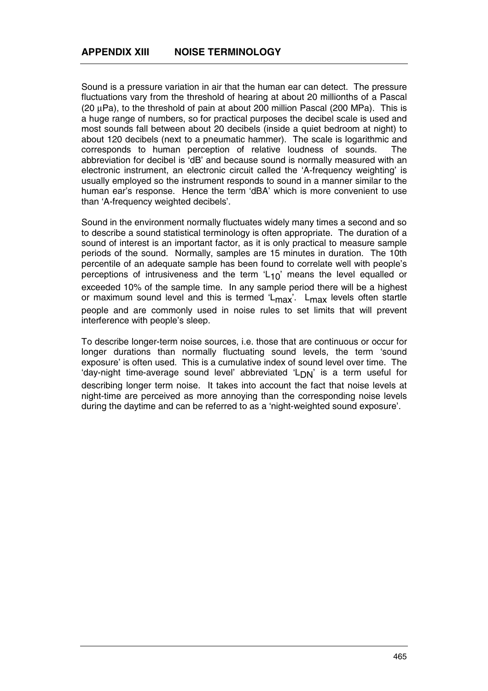Sound is a pressure variation in air that the human ear can detect. The pressure fluctuations vary from the threshold of hearing at about 20 millionths of a Pascal (20 µPa), to the threshold of pain at about 200 million Pascal (200 MPa). This is a huge range of numbers, so for practical purposes the decibel scale is used and most sounds fall between about 20 decibels (inside a quiet bedroom at night) to about 120 decibels (next to a pneumatic hammer). The scale is logarithmic and corresponds to human perception of relative loudness of sounds. The abbreviation for decibel is 'dB' and because sound is normally measured with an electronic instrument, an electronic circuit called the 'A-frequency weighting' is usually employed so the instrument responds to sound in a manner similar to the human ear's response. Hence the term 'dBA' which is more convenient to use than 'A-frequency weighted decibels'.

Sound in the environment normally fluctuates widely many times a second and so to describe a sound statistical terminology is often appropriate. The duration of a sound of interest is an important factor, as it is only practical to measure sample periods of the sound. Normally, samples are 15 minutes in duration. The 10th percentile of an adequate sample has been found to correlate well with people's perceptions of intrusiveness and the term  $L_{10}$ ' means the level equalled or exceeded 10% of the sample time. In any sample period there will be a highest or maximum sound level and this is termed ' $L_{\text{max}}$ '.  $L_{\text{max}}$  levels often startle people and are commonly used in noise rules to set limits that will prevent interference with people's sleep.

To describe longer-term noise sources, i.e. those that are continuous or occur for longer durations than normally fluctuating sound levels, the term 'sound exposure' is often used. This is a cumulative index of sound level over time. The 'day-night time-average sound level' abbreviated ' $L_{DN}$ ' is a term useful for describing longer term noise. It takes into account the fact that noise levels at night-time are perceived as more annoying than the corresponding noise levels during the daytime and can be referred to as a 'night-weighted sound exposure'.